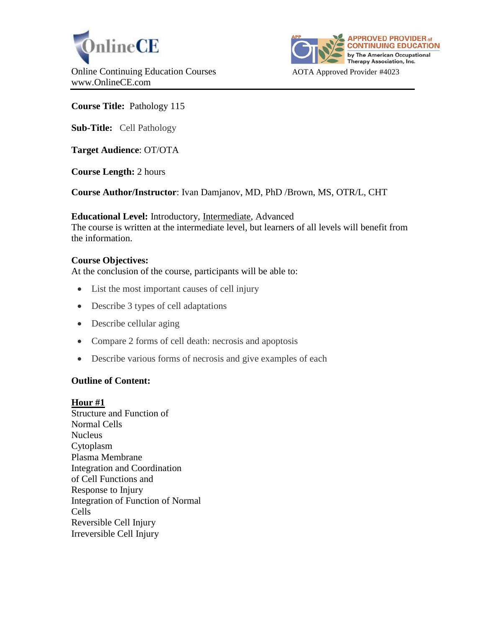



# **Course Title:** Pathology 115

**Sub-Title:** Cell Pathology

**Target Audience**: OT/OTA

**Course Length:** 2 hours

**Course Author/Instructor**: Ivan Damjanov, MD, PhD /Brown, MS, OTR/L, CHT

**Educational Level:** Introductory, Intermediate, Advanced The course is written at the intermediate level, but learners of all levels will benefit from the information.

### **Course Objectives:**

At the conclusion of the course, participants will be able to:

- List the most important causes of cell injury
- Describe 3 types of cell adaptations
- Describe cellular aging
- Compare 2 forms of cell death: necrosis and apoptosis
- Describe various forms of necrosis and give examples of each

# **Outline of Content:**

#### **Hour #1**

Structure and Function of Normal Cells **Nucleus** Cytoplasm Plasma Membrane Integration and Coordination of Cell Functions and Response to Injury Integration of Function of Normal Cells Reversible Cell Injury Irreversible Cell Injury